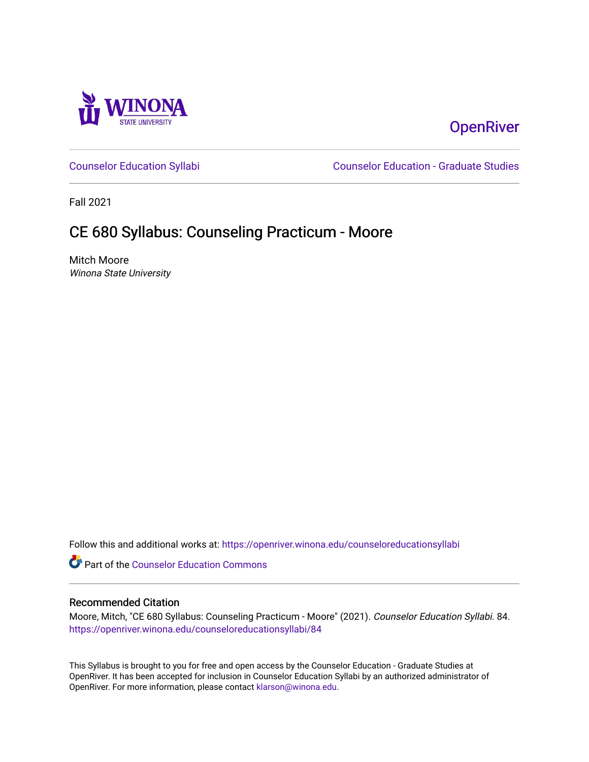

# **OpenRiver**

[Counselor Education Syllabi](https://openriver.winona.edu/counseloreducationsyllabi) [Counselor Education - Graduate Studies](https://openriver.winona.edu/counseloreducation) 

Fall 2021

# CE 680 Syllabus: Counseling Practicum - Moore

Mitch Moore Winona State University

Follow this and additional works at: [https://openriver.winona.edu/counseloreducationsyllabi](https://openriver.winona.edu/counseloreducationsyllabi?utm_source=openriver.winona.edu%2Fcounseloreducationsyllabi%2F84&utm_medium=PDF&utm_campaign=PDFCoverPages)

Part of the [Counselor Education Commons](http://network.bepress.com/hgg/discipline/1278?utm_source=openriver.winona.edu%2Fcounseloreducationsyllabi%2F84&utm_medium=PDF&utm_campaign=PDFCoverPages) 

#### Recommended Citation

Moore, Mitch, "CE 680 Syllabus: Counseling Practicum - Moore" (2021). Counselor Education Syllabi. 84. [https://openriver.winona.edu/counseloreducationsyllabi/84](https://openriver.winona.edu/counseloreducationsyllabi/84?utm_source=openriver.winona.edu%2Fcounseloreducationsyllabi%2F84&utm_medium=PDF&utm_campaign=PDFCoverPages) 

This Syllabus is brought to you for free and open access by the Counselor Education - Graduate Studies at OpenRiver. It has been accepted for inclusion in Counselor Education Syllabi by an authorized administrator of OpenRiver. For more information, please contact [klarson@winona.edu](mailto:klarson@winona.edu).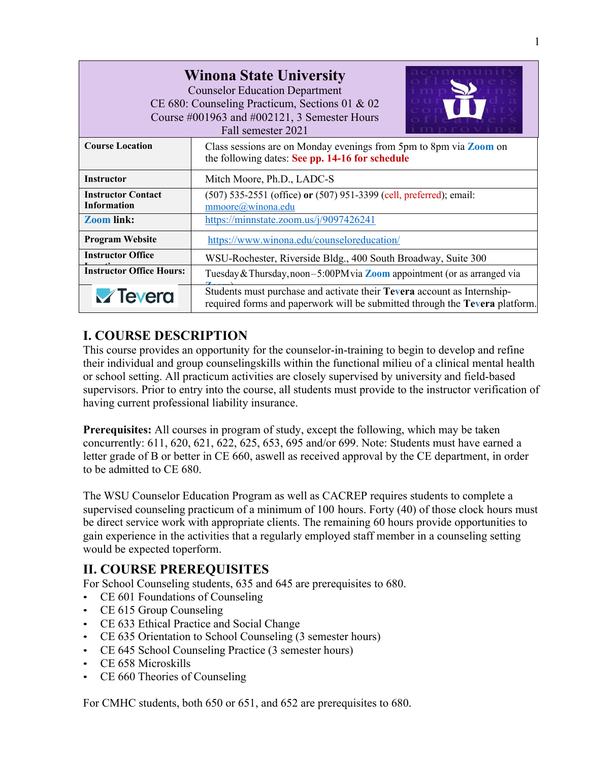| <b>Winona State University</b><br><b>Counselor Education Department</b><br>CE 680: Counseling Practicum, Sections 01 & 02<br>Course #001963 and #002121, 3 Semester Hours<br>Fall semester 2021 |                                                                                                                                                        |  |  |  |  |
|-------------------------------------------------------------------------------------------------------------------------------------------------------------------------------------------------|--------------------------------------------------------------------------------------------------------------------------------------------------------|--|--|--|--|
| <b>Course Location</b>                                                                                                                                                                          | Class sessions are on Monday evenings from 5pm to 8pm via Zoom on<br>the following dates: See pp. 14-16 for schedule                                   |  |  |  |  |
| <b>Instructor</b>                                                                                                                                                                               | Mitch Moore, Ph.D., LADC-S                                                                                                                             |  |  |  |  |
| <b>Instructor Contact</b><br><b>Information</b>                                                                                                                                                 | (507) 535-2551 (office) or (507) 951-3399 (cell, preferred); email:<br>mmoore@winona.edu                                                               |  |  |  |  |
| <b>Zoom link:</b>                                                                                                                                                                               | https://minnstate.zoom.us/ $j/9097426241$                                                                                                              |  |  |  |  |
| <b>Program Website</b>                                                                                                                                                                          | https://www.winona.edu/counseloreducation/                                                                                                             |  |  |  |  |
| <b>Instructor Office</b>                                                                                                                                                                        | WSU-Rochester, Riverside Bldg., 400 South Broadway, Suite 300                                                                                          |  |  |  |  |
| <b>Instructor Office Hours:</b>                                                                                                                                                                 | Tuesday & Thursday, noon $-5:00$ PM via <b>Zoom</b> appointment (or as arranged via                                                                    |  |  |  |  |
| <b>V</b> Tevera                                                                                                                                                                                 | Students must purchase and activate their Tevera account as Internship-<br>required forms and paperwork will be submitted through the Tevera platform. |  |  |  |  |

# **I. COURSE DESCRIPTION**

This course provides an opportunity for the counselor-in-training to begin to develop and refine their individual and group counselingskills within the functional milieu of a clinical mental health or school setting. All practicum activities are closely supervised by university and field-based supervisors. Prior to entry into the course, all students must provide to the instructor verification of having current professional liability insurance.

**Prerequisites:** All courses in program of study, except the following, which may be taken concurrently: 611, 620, 621, 622, 625, 653, 695 and/or 699. Note: Students must have earned a letter grade of B or better in CE 660, aswell as received approval by the CE department, in order to be admitted to CE 680.

The WSU Counselor Education Program as well as CACREP requires students to complete a supervised counseling practicum of a minimum of 100 hours. Forty (40) of those clock hours must be direct service work with appropriate clients. The remaining 60 hours provide opportunities to gain experience in the activities that a regularly employed staff member in a counseling setting would be expected toperform.

## **II. COURSE PREREQUISITES**

For School Counseling students, 635 and 645 are prerequisites to 680.

- CE 601 Foundations of Counseling
- CE 615 Group Counseling
- CE 633 Ethical Practice and Social Change
- CE 635 Orientation to School Counseling (3 semester hours)
- CE 645 School Counseling Practice (3 semester hours)
- CE 658 Microskills
- CE 660 Theories of Counseling

For CMHC students, both 650 or 651, and 652 are prerequisites to 680.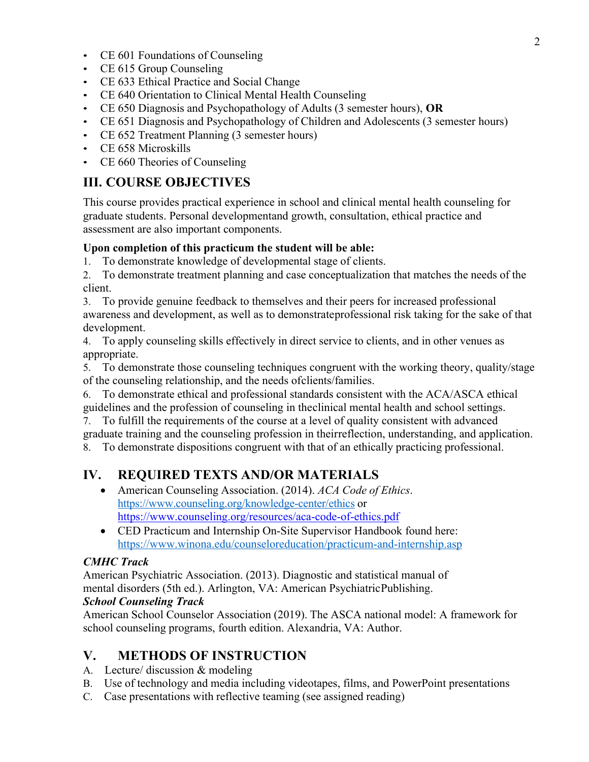- CE 601 Foundations of Counseling
- CE 615 Group Counseling
- CE 633 Ethical Practice and Social Change
- CE 640 Orientation to Clinical Mental Health Counseling
- CE 650 Diagnosis and Psychopathology of Adults (3 semester hours), **OR**
- CE 651 Diagnosis and Psychopathology of Children and Adolescents (3 semester hours)
- CE 652 Treatment Planning (3 semester hours)
- CE 658 Microskills
- CE 660 Theories of Counseling

## **III. COURSE OBJECTIVES**

This course provides practical experience in school and clinical mental health counseling for graduate students. Personal developmentand growth, consultation, ethical practice and assessment are also important components.

#### **Upon completion of this practicum the student will be able:**

1. To demonstrate knowledge of developmental stage of clients.

2. To demonstrate treatment planning and case conceptualization that matches the needs of the client.

3. To provide genuine feedback to themselves and their peers for increased professional awareness and development, as well as to demonstrateprofessional risk taking for the sake of that development.

4. To apply counseling skills effectively in direct service to clients, and in other venues as appropriate.

5. To demonstrate those counseling techniques congruent with the working theory, quality/stage of the counseling relationship, and the needs ofclients/families.

6. To demonstrate ethical and professional standards consistent with the ACA/ASCA ethical guidelines and the profession of counseling in theclinical mental health and school settings.

7. To fulfill the requirements of the course at a level of quality consistent with advanced graduate training and the counseling profession in theirreflection, understanding, and application.

8. To demonstrate dispositions congruent with that of an ethically practicing professional.

# **IV. REQUIRED TEXTS AND/OR MATERIALS**

- American Counseling Association. (2014). *ACA Code of Ethics*. https://www.counseling.org/knowledge-center/ethics or https://www.counseling.org/resources/aca-code-of-ethics.pdf
- CED Practicum and Internship On-Site Supervisor Handbook found here: https://www.winona.edu/counseloreducation/practicum-and-internship.asp

#### *CMHC Track*

American Psychiatric Association. (2013). Diagnostic and statistical manual of mental disorders (5th ed.). Arlington, VA: American PsychiatricPublishing.

### *School Counseling Track*

American School Counselor Association (2019). The ASCA national model: A framework for school counseling programs, fourth edition. Alexandria, VA: Author.

## **V. METHODS OF INSTRUCTION**

- A. Lecture/ discussion & modeling
- B. Use of technology and media including videotapes, films, and PowerPoint presentations
- C. Case presentations with reflective teaming (see assigned reading)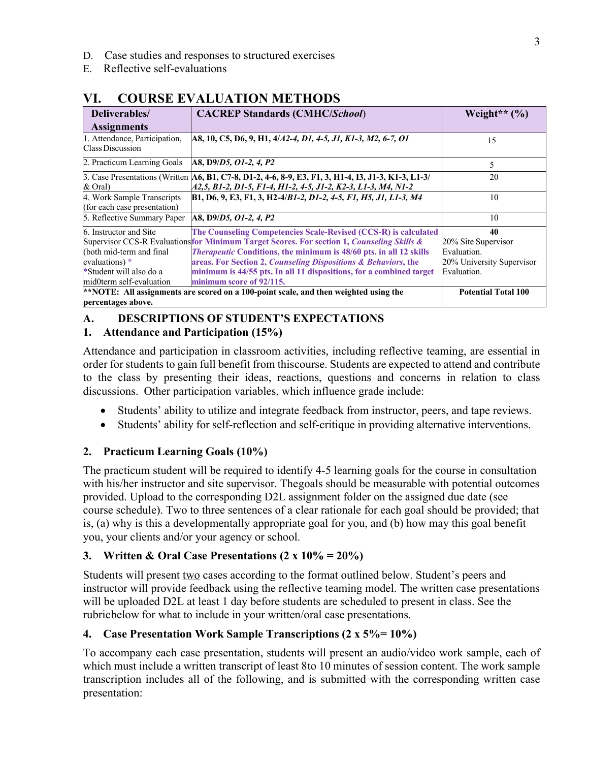- D. Case studies and responses to structured exercises
- E. Reflective self-evaluations

| <u>Couplement de la communista</u>                         |                                                                                                                                                                      |                            |  |  |
|------------------------------------------------------------|----------------------------------------------------------------------------------------------------------------------------------------------------------------------|----------------------------|--|--|
| Deliverables/                                              | <b>CACREP Standards (CMHC/School)</b>                                                                                                                                | Weight** $(\% )$           |  |  |
| <b>Assignments</b>                                         |                                                                                                                                                                      |                            |  |  |
| 1. Attendance, Participation,<br>Class Discussion          | A8, 10, C5, D6, 9, H1, 4/A2-4, D1, 4-5, J1, K1-3, M2, 6-7, O1                                                                                                        | 15                         |  |  |
| 2. Practicum Learning Goals                                | A8, D9/D5, O1-2, 4, P2                                                                                                                                               | 5                          |  |  |
| & Oral)                                                    | 3. Case Presentations (Written A6, B1, C7-8, D1-2, 4-6, 8-9, E3, F1, 3, H1-4, I3, J1-3, K1-3, L1-3/<br>A2,5, B1-2, D1-5, F1-4, H1-2, 4-5, J1-2, K2-3, L1-3, M4, N1-2 | 20                         |  |  |
| 4. Work Sample Transcripts<br>(for each case presentation) | B1, D6, 9, E3, F1, 3, H2-4/B1-2, D1-2, 4-5, F1, H5, J1, L1-3, M4                                                                                                     | 10                         |  |  |
| 5. Reflective Summary Paper                                | A8, D9/D5, O1-2, 4, P2                                                                                                                                               | 10                         |  |  |
| 6. Instructor and Site                                     | The Counseling Competencies Scale-Revised (CCS-R) is calculated                                                                                                      | 40                         |  |  |
|                                                            | Supervisor CCS-R Evaluationsfor Minimum Target Scores. For section 1, Counseling Skills &                                                                            | 20% Site Supervisor        |  |  |
| (both mid-term and final                                   | <i>Therapeutic</i> Conditions, the minimum is 48/60 pts. in all 12 skills                                                                                            | Evaluation.                |  |  |
| evaluations) *                                             | areas. For Section 2, Counseling Dispositions & Behaviors, the                                                                                                       | 20% University Supervisor  |  |  |
| *Student will also do a                                    | minimum is 44/55 pts. In all 11 dispositions, for a combined target                                                                                                  | Evaluation.                |  |  |
| mid0term self-evaluation                                   | minimum score of 92/115.                                                                                                                                             |                            |  |  |
|                                                            | $**$ NOTE: All assignments are scored on a 100-point scale, and then weighted using the                                                                              | <b>Potential Total 100</b> |  |  |
| percentages above.                                         |                                                                                                                                                                      |                            |  |  |

# **VI. COURSE EVALUATION METHODS**

## **A. DESCRIPTIONS OF STUDENT'S EXPECTATIONS**

#### **1. Attendance and Participation (15%)**

Attendance and participation in classroom activities, including reflective teaming, are essential in order for students to gain full benefit from thiscourse. Students are expected to attend and contribute to the class by presenting their ideas, reactions, questions and concerns in relation to class discussions. Other participation variables, which influence grade include:

- Students' ability to utilize and integrate feedback from instructor, peers, and tape reviews.
- Students' ability for self-reflection and self-critique in providing alternative interventions.

## **2. Practicum Learning Goals (10%)**

The practicum student will be required to identify 4-5 learning goals for the course in consultation with his/her instructor and site supervisor. Thegoals should be measurable with potential outcomes provided. Upload to the corresponding D2L assignment folder on the assigned due date (see course schedule). Two to three sentences of a clear rationale for each goal should be provided; that is, (a) why is this a developmentally appropriate goal for you, and (b) how may this goal benefit you, your clients and/or your agency or school.

### **3. Written & Oral Case Presentations (2 x 10% = 20%)**

Students will present two cases according to the format outlined below. Student's peers and instructor will provide feedback using the reflective teaming model. The written case presentations will be uploaded D2L at least 1 day before students are scheduled to present in class. See the rubricbelow for what to include in your written/oral case presentations.

### **4. Case Presentation Work Sample Transcriptions (2 x 5%= 10%)**

To accompany each case presentation, students will present an audio/video work sample, each of which must include a written transcript of least 8to 10 minutes of session content. The work sample transcription includes all of the following, and is submitted with the corresponding written case presentation: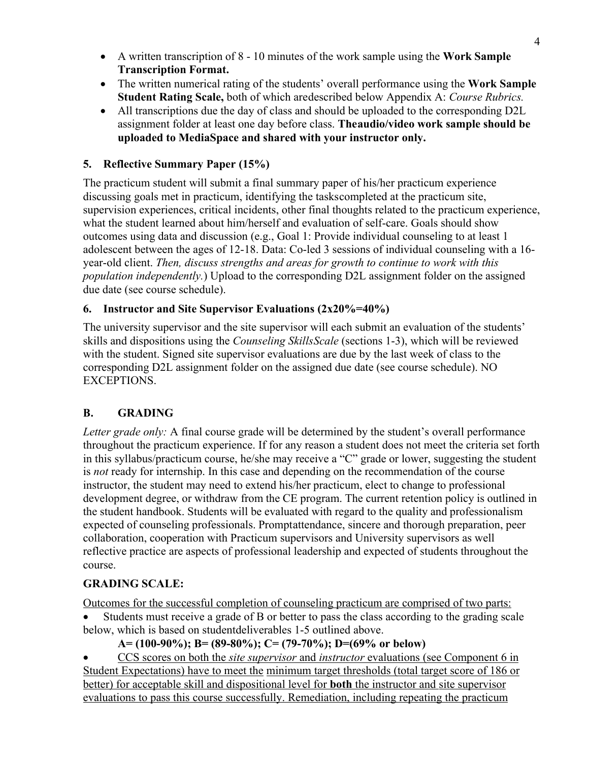- A written transcription of 8 10 minutes of the work sample using the **Work Sample Transcription Format.**
- The written numerical rating of the students' overall performance using the **Work Sample Student Rating Scale,** both of which aredescribed below Appendix A: *Course Rubrics.*
- All transcriptions due the day of class and should be uploaded to the corresponding D2L assignment folder at least one day before class. **Theaudio/video work sample should be uploaded to MediaSpace and shared with your instructor only.**

## **5. Reflective Summary Paper (15%)**

The practicum student will submit a final summary paper of his/her practicum experience discussing goals met in practicum, identifying the taskscompleted at the practicum site, supervision experiences, critical incidents, other final thoughts related to the practicum experience, what the student learned about him/herself and evaluation of self-care. Goals should show outcomes using data and discussion (e.g., Goal 1: Provide individual counseling to at least 1 adolescent between the ages of 12-18. Data: Co-led 3 sessions of individual counseling with a 16 year-old client. *Then, discuss strengths and areas for growth to continue to work with this population independently.*) Upload to the corresponding D2L assignment folder on the assigned due date (see course schedule).

### **6. Instructor and Site Supervisor Evaluations (2x20%=40%)**

The university supervisor and the site supervisor will each submit an evaluation of the students' skills and dispositions using the *Counseling SkillsScale* (sections 1-3), which will be reviewed with the student. Signed site supervisor evaluations are due by the last week of class to the corresponding D2L assignment folder on the assigned due date (see course schedule). NO EXCEPTIONS.

## **B. GRADING**

*Letter grade only:* A final course grade will be determined by the student's overall performance throughout the practicum experience. If for any reason a student does not meet the criteria set forth in this syllabus/practicum course, he/she may receive a "C" grade or lower, suggesting the student is *not* ready for internship. In this case and depending on the recommendation of the course instructor, the student may need to extend his/her practicum, elect to change to professional development degree, or withdraw from the CE program. The current retention policy is outlined in the student handbook. Students will be evaluated with regard to the quality and professionalism expected of counseling professionals. Promptattendance, sincere and thorough preparation, peer collaboration, cooperation with Practicum supervisors and University supervisors as well reflective practice are aspects of professional leadership and expected of students throughout the course.

### **GRADING SCALE:**

Outcomes for the successful completion of counseling practicum are comprised of two parts:

Students must receive a grade of B or better to pass the class according to the grading scale below, which is based on studentdeliverables 1-5 outlined above.

### **A= (100-90%); B= (89-80%); C= (79-70%); D=(69% or below)**

• CCS scores on both the *site supervisor* and *instructor* evaluations (see Component 6 in Student Expectations) have to meet the minimum target thresholds (total target score of 186 or better) for acceptable skill and dispositional level for **both** the instructor and site supervisor evaluations to pass this course successfully. Remediation, including repeating the practicum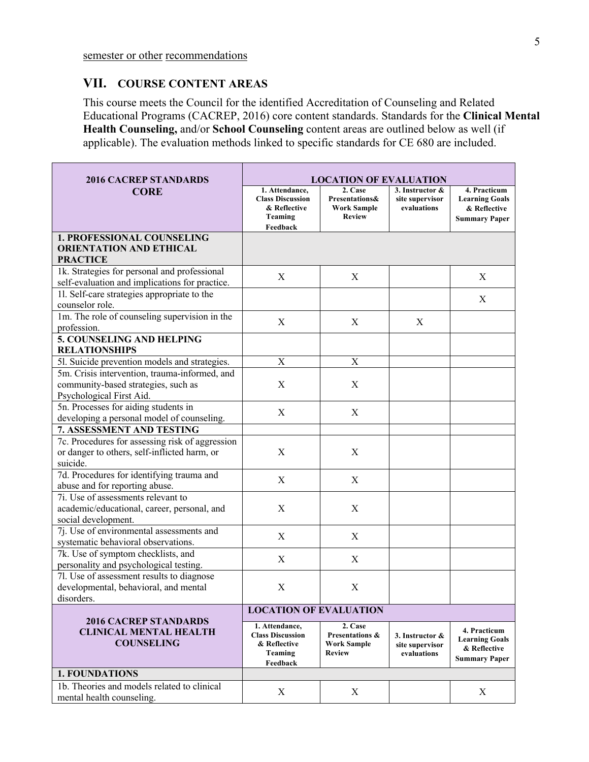#### **VII. COURSE CONTENT AREAS**

This course meets the Council for the identified Accreditation of Counseling and Related Educational Programs (CACREP, 2016) core content standards. Standards for the **Clinical Mental Health Counseling,** and/or **School Counseling** content areas are outlined below as well (if applicable). The evaluation methods linked to specific standards for CE 680 are included.

| <b>2016 CACREP STANDARDS</b>                                                                                     | <b>LOCATION OF EVALUATION</b>                                                           |                                                                   |                                                   |                                                                               |
|------------------------------------------------------------------------------------------------------------------|-----------------------------------------------------------------------------------------|-------------------------------------------------------------------|---------------------------------------------------|-------------------------------------------------------------------------------|
| <b>CORE</b>                                                                                                      | 1. Attendance,<br><b>Class Discussion</b><br>& Reflective<br>Teaming<br>Feedback        | 2. Case<br>Presentations&<br><b>Work Sample</b><br><b>Review</b>  | 3. Instructor &<br>site supervisor<br>evaluations | 4. Practicum<br><b>Learning Goals</b><br>& Reflective<br><b>Summary Paper</b> |
| <b>1. PROFESSIONAL COUNSELING</b><br><b>ORIENTATION AND ETHICAL</b><br><b>PRACTICE</b>                           |                                                                                         |                                                                   |                                                   |                                                                               |
| 1k. Strategies for personal and professional<br>self-evaluation and implications for practice.                   | X                                                                                       | X                                                                 |                                                   | X                                                                             |
| 11. Self-care strategies appropriate to the<br>counselor role.                                                   |                                                                                         |                                                                   |                                                   | X                                                                             |
| 1m. The role of counseling supervision in the<br>profession.                                                     | $\mathbf X$                                                                             | $\mathbf X$                                                       | X                                                 |                                                                               |
| <b>5. COUNSELING AND HELPING</b><br><b>RELATIONSHIPS</b>                                                         |                                                                                         |                                                                   |                                                   |                                                                               |
| 51. Suicide prevention models and strategies.                                                                    | $\mathbf X$                                                                             | $\mathbf X$                                                       |                                                   |                                                                               |
| 5m. Crisis intervention, trauma-informed, and<br>community-based strategies, such as<br>Psychological First Aid. | $\mathbf X$                                                                             | X                                                                 |                                                   |                                                                               |
| 5n. Processes for aiding students in<br>developing a personal model of counseling.                               | X                                                                                       | X                                                                 |                                                   |                                                                               |
| 7. ASSESSMENT AND TESTING                                                                                        |                                                                                         |                                                                   |                                                   |                                                                               |
| 7c. Procedures for assessing risk of aggression<br>or danger to others, self-inflicted harm, or<br>suicide.      | $\mathbf X$                                                                             | X                                                                 |                                                   |                                                                               |
| 7d. Procedures for identifying trauma and<br>abuse and for reporting abuse.                                      | $\mathbf X$                                                                             | $\mathbf X$                                                       |                                                   |                                                                               |
| 7i. Use of assessments relevant to<br>academic/educational, career, personal, and<br>social development.         | X                                                                                       | X                                                                 |                                                   |                                                                               |
| $\overline{7}$ . Use of environmental assessments and<br>systematic behavioral observations.                     | X                                                                                       | X                                                                 |                                                   |                                                                               |
| 7k. Use of symptom checklists, and<br>personality and psychological testing.                                     | X                                                                                       | X                                                                 |                                                   |                                                                               |
| 7l. Use of assessment results to diagnose<br>developmental, behavioral, and mental<br>disorders.                 | X                                                                                       | X                                                                 |                                                   |                                                                               |
|                                                                                                                  | <b>LOCATION OF EVALUATION</b>                                                           |                                                                   |                                                   |                                                                               |
| <b>2016 CACREP STANDARDS</b><br><b>CLINICAL MENTAL HEALTH</b><br><b>COUNSELING</b>                               | 1. Attendance,<br><b>Class Discussion</b><br>& Reflective<br><b>Teaming</b><br>Feedback | 2. Case<br>Presentations &<br><b>Work Sample</b><br><b>Review</b> | 3. Instructor &<br>site supervisor<br>evaluations | 4. Practicum<br><b>Learning Goals</b><br>& Reflective<br><b>Summary Paper</b> |
| <b>1. FOUNDATIONS</b>                                                                                            |                                                                                         |                                                                   |                                                   |                                                                               |
| 1b. Theories and models related to clinical<br>mental health counseling.                                         | X                                                                                       | X                                                                 |                                                   | X                                                                             |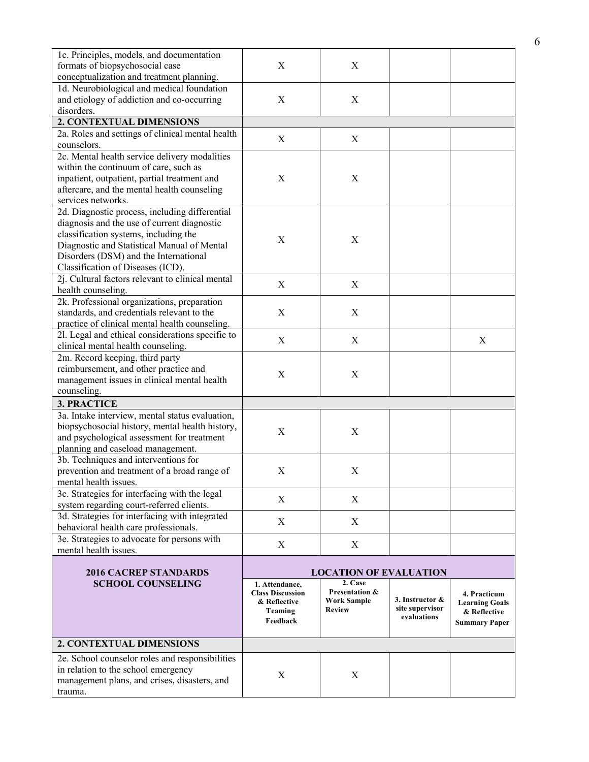| 1c. Principles, models, and documentation<br>formats of biopsychosocial case<br>conceptualization and treatment planning.                                                                                                                                           | X                                                                                | X                                                                |                                                   |                                                                               |
|---------------------------------------------------------------------------------------------------------------------------------------------------------------------------------------------------------------------------------------------------------------------|----------------------------------------------------------------------------------|------------------------------------------------------------------|---------------------------------------------------|-------------------------------------------------------------------------------|
| 1d. Neurobiological and medical foundation<br>and etiology of addiction and co-occurring<br>disorders.                                                                                                                                                              | $\mathbf X$                                                                      | $\boldsymbol{\mathrm{X}}$                                        |                                                   |                                                                               |
| 2. CONTEXTUAL DIMENSIONS                                                                                                                                                                                                                                            |                                                                                  |                                                                  |                                                   |                                                                               |
| 2a. Roles and settings of clinical mental health<br>counselors.                                                                                                                                                                                                     | X                                                                                | X                                                                |                                                   |                                                                               |
| 2c. Mental health service delivery modalities<br>within the continuum of care, such as<br>inpatient, outpatient, partial treatment and<br>aftercare, and the mental health counseling<br>services networks.                                                         | X                                                                                | X                                                                |                                                   |                                                                               |
| 2d. Diagnostic process, including differential<br>diagnosis and the use of current diagnostic<br>classification systems, including the<br>Diagnostic and Statistical Manual of Mental<br>Disorders (DSM) and the International<br>Classification of Diseases (ICD). | X                                                                                | X                                                                |                                                   |                                                                               |
| 2j. Cultural factors relevant to clinical mental<br>health counseling.                                                                                                                                                                                              | $\mathbf X$                                                                      | $\mathbf X$                                                      |                                                   |                                                                               |
| 2k. Professional organizations, preparation<br>standards, and credentials relevant to the<br>practice of clinical mental health counseling.                                                                                                                         | X                                                                                | X                                                                |                                                   |                                                                               |
| 21. Legal and ethical considerations specific to<br>clinical mental health counseling.                                                                                                                                                                              | X                                                                                | X                                                                |                                                   | X                                                                             |
| 2m. Record keeping, third party<br>reimbursement, and other practice and<br>management issues in clinical mental health<br>counseling.                                                                                                                              | X                                                                                | X                                                                |                                                   |                                                                               |
| 3. PRACTICE                                                                                                                                                                                                                                                         |                                                                                  |                                                                  |                                                   |                                                                               |
| 3a. Intake interview, mental status evaluation,<br>biopsychosocial history, mental health history,<br>and psychological assessment for treatment<br>planning and caseload management.                                                                               | X                                                                                | X                                                                |                                                   |                                                                               |
| 3b. Techniques and interventions for<br>prevention and treatment of a broad range of<br>mental health issues.                                                                                                                                                       | X                                                                                | X                                                                |                                                   |                                                                               |
| 3c. Strategies for interfacing with the legal<br>system regarding court-referred clients.                                                                                                                                                                           | X                                                                                | X                                                                |                                                   |                                                                               |
| 3d. Strategies for interfacing with integrated<br>behavioral health care professionals.                                                                                                                                                                             | X                                                                                | X                                                                |                                                   |                                                                               |
| 3e. Strategies to advocate for persons with<br>mental health issues.                                                                                                                                                                                                | X                                                                                | X                                                                |                                                   |                                                                               |
| <b>2016 CACREP STANDARDS</b>                                                                                                                                                                                                                                        |                                                                                  | <b>LOCATION OF EVALUATION</b>                                    |                                                   |                                                                               |
| <b>SCHOOL COUNSELING</b>                                                                                                                                                                                                                                            | 1. Attendance,<br><b>Class Discussion</b><br>& Reflective<br>Teaming<br>Feedback | 2. Case<br>Presentation &<br><b>Work Sample</b><br><b>Review</b> | 3. Instructor &<br>site supervisor<br>evaluations | 4. Practicum<br><b>Learning Goals</b><br>& Reflective<br><b>Summary Paper</b> |
| 2. CONTEXTUAL DIMENSIONS                                                                                                                                                                                                                                            |                                                                                  |                                                                  |                                                   |                                                                               |
| 2e. School counselor roles and responsibilities<br>in relation to the school emergency<br>management plans, and crises, disasters, and<br>trauma.                                                                                                                   | X                                                                                | X                                                                |                                                   |                                                                               |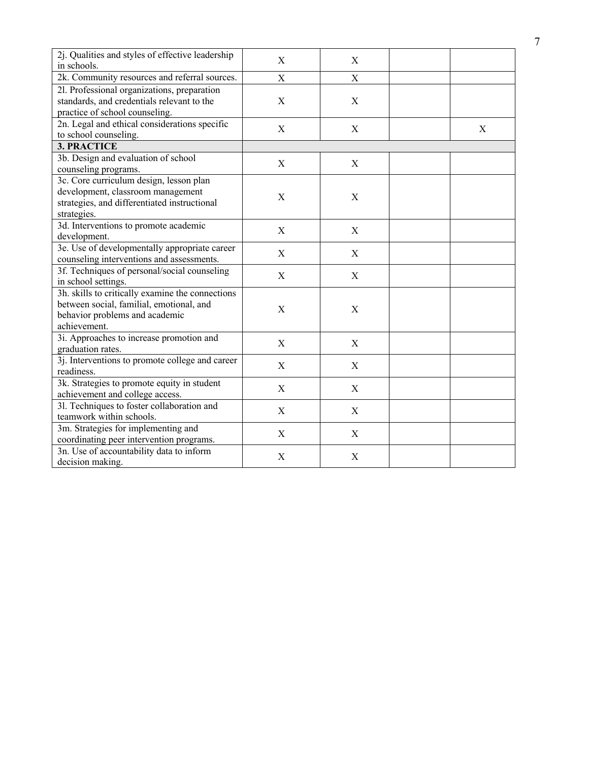| 2j. Qualities and styles of effective leadership<br>in schools.                                                                                | X                         | X           |   |
|------------------------------------------------------------------------------------------------------------------------------------------------|---------------------------|-------------|---|
| 2k. Community resources and referral sources.                                                                                                  | X                         | X           |   |
| 2l. Professional organizations, preparation<br>standards, and credentials relevant to the<br>practice of school counseling.                    | $\mathbf X$               | X           |   |
| 2n. Legal and ethical considerations specific<br>to school counseling.                                                                         | X                         | X           | X |
| <b>3. PRACTICE</b>                                                                                                                             |                           |             |   |
| 3b. Design and evaluation of school<br>counseling programs.                                                                                    | X                         | X           |   |
| 3c. Core curriculum design, lesson plan<br>development, classroom management<br>strategies, and differentiated instructional<br>strategies.    | $\mathbf X$               | X           |   |
| 3d. Interventions to promote academic<br>development.                                                                                          | $\mathbf X$               | X           |   |
| 3e. Use of developmentally appropriate career<br>counseling interventions and assessments.                                                     | X                         | X           |   |
| 3f. Techniques of personal/social counseling<br>in school settings.                                                                            | X                         | X           |   |
| 3h. skills to critically examine the connections<br>between social, familial, emotional, and<br>behavior problems and academic<br>achievement. | $\mathbf X$               | $\mathbf X$ |   |
| 3i. Approaches to increase promotion and<br>graduation rates.                                                                                  | $\mathbf X$               | $\mathbf X$ |   |
| 3j. Interventions to promote college and career<br>readiness.                                                                                  | X                         | X           |   |
| 3k. Strategies to promote equity in student<br>achievement and college access.                                                                 | $\boldsymbol{\mathrm{X}}$ | $\mathbf X$ |   |
| 31. Techniques to foster collaboration and<br>teamwork within schools.                                                                         | X                         | X           |   |
| 3m. Strategies for implementing and<br>coordinating peer intervention programs.                                                                | X                         | X           |   |
| 3n. Use of accountability data to inform<br>decision making.                                                                                   | X                         | X           |   |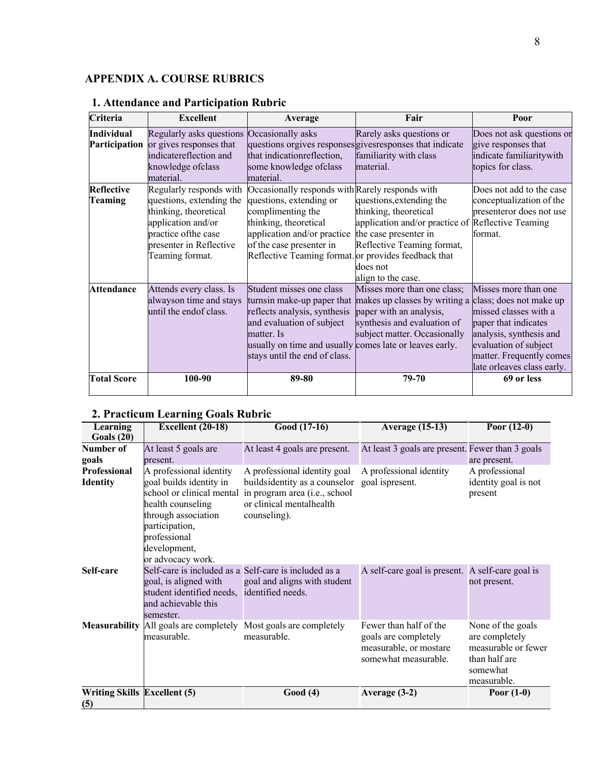## **APPENDIX A. COURSE RUBRICS**

| Criteria                                  | <b>Excellent</b>                                                                                                                                                         | Average                                                                                                                                                                                                                                     | Fair                                                                                                                                                                                            | Poor                                                                                                                                                                                |
|-------------------------------------------|--------------------------------------------------------------------------------------------------------------------------------------------------------------------------|---------------------------------------------------------------------------------------------------------------------------------------------------------------------------------------------------------------------------------------------|-------------------------------------------------------------------------------------------------------------------------------------------------------------------------------------------------|-------------------------------------------------------------------------------------------------------------------------------------------------------------------------------------|
| <b>Individual</b><br><b>Participation</b> | Regularly asks questions<br>or gives responses that<br>indicatereflection and<br>knowledge ofclass<br>material.                                                          | Occasionally asks<br>that indicationreflection,<br>some knowledge ofclass<br>material.                                                                                                                                                      | Rarely asks questions or<br>questions orgives responses gives responses that indicate<br>familiarity with class<br>material.                                                                    | Does not ask questions or<br>give responses that<br>indicate familiaritywith<br>topics for class.                                                                                   |
| <b>Reflective</b><br><b>Teaming</b>       | Regularly responds with<br>questions, extending the<br>thinking, theoretical<br>application and/or<br>practice of the case<br>presenter in Reflective<br>Teaming format. | Occasionally responds with Rarely responds with<br>questions, extending or<br>complimenting the<br>thinking, theoretical<br>application and/or practice<br>of the case presenter in<br>Reflective Teaming format. or provides feedback that | questions, extending the<br>thinking, theoretical<br>application and/or practice of Reflective Teaming<br>the case presenter in<br>Reflective Teaming format,<br>does not<br>align to the case. | Does not add to the case<br>conceptualization of the<br>presenteror does not use<br>format.                                                                                         |
| <b>Attendance</b>                         | Attends every class. Is<br>alwayson time and stays<br>until the endof class.                                                                                             | Student misses one class<br>turnsin make-up paper that<br>reflects analysis, synthesis<br>and evaluation of subject<br>matter. Is<br>usually on time and usually comes late or leaves early.<br>stays until the end of class.               | Misses more than one class;<br>makes up classes by writing a class; does not make up<br>paper with an analysis,<br>synthesis and evaluation of<br>subject matter. Occasionally                  | Misses more than one<br>missed classes with a<br>paper that indicates<br>analysis, synthesis and<br>evaluation of subject<br>matter. Frequently comes<br>late orleaves class early. |
| <b>Total Score</b>                        | 100-90                                                                                                                                                                   | 89-80                                                                                                                                                                                                                                       | 79-70                                                                                                                                                                                           | 69 or less                                                                                                                                                                          |

# **1. Attendance and Participation Rubric**

# **2. Practicum Learning Goals Rubric**

| Learning<br>Goals(20)                      | Excellent (20-18)                                                                                                                                                     | Good (17-16)                                                                                                                                                         | Average $(15-13)$                                                                                | Poor $(12-0)$                                                                                          |
|--------------------------------------------|-----------------------------------------------------------------------------------------------------------------------------------------------------------------------|----------------------------------------------------------------------------------------------------------------------------------------------------------------------|--------------------------------------------------------------------------------------------------|--------------------------------------------------------------------------------------------------------|
| Number of<br>goals                         | At least 5 goals are<br>present.                                                                                                                                      | At least 4 goals are present.                                                                                                                                        | At least 3 goals are present. Fewer than 3 goals                                                 | are present.                                                                                           |
| Professional<br><b>Identity</b>            | A professional identity<br>goal builds identity in<br>health counseling<br>through association<br>participation,<br>professional<br>development,<br>or advocacy work. | A professional identity goal<br>buildsidentity as a counselor<br>school or clinical mental in program area (i.e., school<br>or clinical mentalhealth<br>counseling). | A professional identity<br>goal ispresent.                                                       | A professional<br>identity goal is not<br>present                                                      |
| Self-care                                  | goal, is aligned with<br>student identified needs, identified needs.<br>and achievable this<br>semester.                                                              | Self-care is included as a Self-care is included as a<br>goal and aligns with student                                                                                | A self-care goal is present. A self-care goal is                                                 | not present.                                                                                           |
| <b>Measurability</b>                       | All goals are completely<br>measurable.                                                                                                                               | Most goals are completely<br>measurable.                                                                                                                             | Fewer than half of the<br>goals are completely<br>measurable, or mostare<br>somewhat measurable. | None of the goals<br>are completely<br>measurable or fewer<br>than half are<br>somewhat<br>measurable. |
| <b>Writing Skills Excellent (5)</b><br>(5) |                                                                                                                                                                       | Good(4)                                                                                                                                                              | Average (3-2)                                                                                    | Poor $(1-0)$                                                                                           |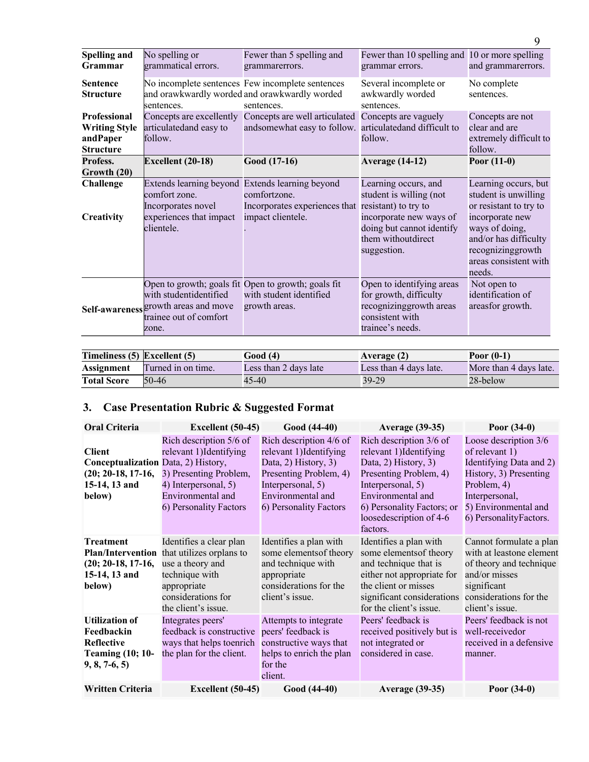| <b>Spelling and</b><br><b>Grammar</b>                                       | No spelling or<br>grammatical errors.                                                                                           | Fewer than 5 spelling and<br>grammarerrors.                                                                     | Fewer than 10 spelling and 10 or more spelling<br>grammar errors.                                                                            | and grammarerrors.                                                                                                                                                                           |
|-----------------------------------------------------------------------------|---------------------------------------------------------------------------------------------------------------------------------|-----------------------------------------------------------------------------------------------------------------|----------------------------------------------------------------------------------------------------------------------------------------------|----------------------------------------------------------------------------------------------------------------------------------------------------------------------------------------------|
| <b>Sentence</b><br><b>Structure</b>                                         | sentences.                                                                                                                      | No incomplete sentences Few incomplete sentences<br>and orawkwardly worded and orawkwardly worded<br>sentences. | Several incomplete or<br>awkwardly worded<br>sentences.                                                                                      | No complete<br>sentences.                                                                                                                                                                    |
| <b>Professional</b><br><b>Writing Style</b><br>andPaper<br><b>Structure</b> | Concepts are excellently<br>articulatedand easy to<br>follow.                                                                   | Concepts are well articulated<br>andsomewhat easy to follow. articulatedand difficult to                        | Concepts are vaguely<br>follow.                                                                                                              | Concepts are not<br>clear and are<br>extremely difficult to<br>follow.                                                                                                                       |
| Profess.<br>Growth (20)                                                     | <b>Excellent</b> (20-18)                                                                                                        | Good (17-16)                                                                                                    | <b>Average (14-12)</b>                                                                                                                       | Poor $(11-0)$                                                                                                                                                                                |
| Challenge<br><b>Creativity</b>                                              | Extends learning beyond Extends learning beyond<br>comfort zone.<br>Incorporates novel<br>experiences that impact<br>clientele. | comfortzone.<br>Incorporates experiences that resistant) to try to<br>impact clientele.                         | Learning occurs, and<br>student is willing (not<br>incorporate new ways of<br>doing but cannot identify<br>them withoutdirect<br>suggestion. | Learning occurs, but<br>student is unwilling<br>or resistant to try to<br>incorporate new<br>ways of doing,<br>and/or has difficulty<br>recognizinggrowth<br>areas consistent with<br>needs. |
|                                                                             | with studentidentified<br>Self-awareness growth areas and move<br>trainee out of comfort<br>zone.                               | Open to growth; goals fit Open to growth; goals fit<br>with student identified<br>growth areas.                 | Open to identifying areas<br>for growth, difficulty<br>recognizing growth areas<br>consistent with<br>trainee's needs.                       | Not open to<br>identification of<br>areasfor growth.                                                                                                                                         |

| Timeliness $(5)$ Excellent $(5)$ |                    | Good (4)              | Average (2)            | Poor $(0-1)$           |
|----------------------------------|--------------------|-----------------------|------------------------|------------------------|
| Assignment                       | Turned in on time. | Less than 2 days late | Less than 4 days late. | More than 4 days late. |
| <b>Total Score</b>               | 50-46              | 45-40                 | 39-29                  | 28-below               |

# **3. Case Presentation Rubric & Suggested Format**

| <b>Oral Criteria</b>                                                                                    | Excellent $(50-45)$                                                                                                                                                     | Good (44-40)                                                                                                                                                             | <b>Average (39-35)</b>                                                                                                                                                                                              | Poor $(34-0)$                                                                                                                                                                   |
|---------------------------------------------------------------------------------------------------------|-------------------------------------------------------------------------------------------------------------------------------------------------------------------------|--------------------------------------------------------------------------------------------------------------------------------------------------------------------------|---------------------------------------------------------------------------------------------------------------------------------------------------------------------------------------------------------------------|---------------------------------------------------------------------------------------------------------------------------------------------------------------------------------|
| <b>Client</b><br>Conceptualization Data, 2) History,<br>$(20; 20-18, 17-16,$<br>15-14, 13 and<br>below) | Rich description 5/6 of<br>relevant 1) Identifying<br>3) Presenting Problem,<br>4) Interpersonal, 5)<br>Environmental and<br>6) Personality Factors                     | Rich description 4/6 of<br>relevant 1) Identifying<br>Data, 2) History, 3)<br>Presenting Problem, 4)<br>Interpersonal, 5)<br>Environmental and<br>6) Personality Factors | Rich description 3/6 of<br>relevant 1) Identifying<br>Data, 2) History, 3)<br>Presenting Problem, 4)<br>Interpersonal, 5)<br>Environmental and<br>6) Personality Factors; or<br>loosedescription of 4-6<br>factors. | Loose description 3/6<br>of relevant 1)<br>Identifying Data and 2)<br>History, 3) Presenting<br>Problem, 4)<br>Interpersonal,<br>5) Environmental and<br>6) PersonalityFactors. |
| <b>Treatment</b><br>$(20; 20-18, 17-16,$<br>15-14, 13 and<br>below)                                     | Identifies a clear plan<br>Plan/Intervention that utilizes orplans to<br>use a theory and<br>technique with<br>appropriate<br>considerations for<br>the client's issue. | Identifies a plan with<br>some elements of theory<br>and technique with<br>appropriate<br>considerations for the<br>client's issue.                                      | Identifies a plan with<br>some elements of theory<br>and technique that is<br>either not appropriate for<br>the client or misses<br>significant considerations<br>for the client's issue.                           | Cannot formulate a plan<br>with at leastone element<br>of theory and technique<br>and/or misses<br>significant<br>considerations for the<br>client's issue.                     |
| <b>Utilization of</b><br>Feedbackin<br><b>Reflective</b><br><b>Teaming (10; 10-</b><br>$9, 8, 7-6, 5$   | Integrates peers'<br>feedback is constructive<br>ways that helps toenrich<br>the plan for the client.                                                                   | Attempts to integrate<br>peers' feedback is<br>constructive ways that<br>helps to enrich the plan<br>for the<br>client.                                                  | Peers' feedback is<br>received positively but is<br>not integrated or<br>considered in case.                                                                                                                        | Peers' feedback is not<br>well-receivedor<br>received in a defensive<br>manner.                                                                                                 |
| <b>Written Criteria</b>                                                                                 | Excellent $(50-45)$                                                                                                                                                     | Good (44-40)                                                                                                                                                             | <b>Average (39-35)</b>                                                                                                                                                                                              | Poor $(34-0)$                                                                                                                                                                   |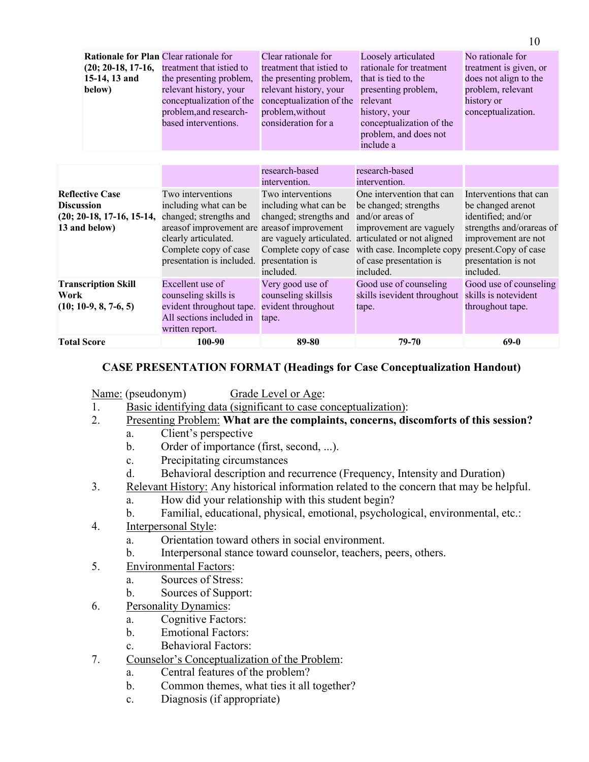| Work       | <b>Transcription Skill</b><br>$(10; 10-9, 8, 7-6, 5)$                                            | Excellent use of<br>counseling skills is<br>evident throughout tape.<br>All sections included in                                                                                                  | included.<br>Very good use of<br>counseling skillsis<br>evident throughout<br>tape.                                                                                             | included.<br>Good use of counseling<br>skills is evident throughout<br>tape.                                                                                                                                               | included.<br>Good use of counseling<br>skills is notevident<br>throughout tape.                                                                                      |
|------------|--------------------------------------------------------------------------------------------------|---------------------------------------------------------------------------------------------------------------------------------------------------------------------------------------------------|---------------------------------------------------------------------------------------------------------------------------------------------------------------------------------|----------------------------------------------------------------------------------------------------------------------------------------------------------------------------------------------------------------------------|----------------------------------------------------------------------------------------------------------------------------------------------------------------------|
| Discussion | <b>Reflective Case</b><br>$(20; 20-18, 17-16, 15-14,$<br>13 and below)                           | Two interventions<br>including what can be<br>changed; strengths and<br>areasof improvement are areasof improvement<br>clearly articulated.<br>Complete copy of case<br>presentation is included. | research-based<br>intervention.<br>Two interventions<br>including what can be<br>changed; strengths and<br>are vaguely articulated.<br>Complete copy of case<br>presentation is | research-based<br>intervention.<br>One intervention that can<br>be changed; strengths<br>and/or areas of<br>improvement are vaguely<br>articulated or not aligned<br>with case. Incomplete copy<br>of case presentation is | Interventions that can<br>be changed arenot<br>identified; and/or<br>strengths and/orareas of<br>improvement are not<br>present. Copy of case<br>presentation is not |
|            | <b>Rationale for Plan Clear rationale for</b><br>$(20; 20-18, 17-16,$<br>15-14, 13 and<br>below) | treatment that istied to<br>the presenting problem,<br>relevant history, your<br>conceptualization of the<br>problem, and research-<br>based interventions.                                       | Clear rationale for<br>treatment that istied to<br>the presenting problem,<br>relevant history, your<br>conceptualization of the<br>problem, without<br>consideration for a     | Loosely articulated<br>rationale for treatment<br>that is tied to the<br>presenting problem,<br>relevant<br>history, your<br>conceptualization of the<br>problem, and does not<br>include a                                | No rationale for<br>treatment is given, or<br>does not align to the<br>problem, relevant<br>history or<br>conceptualization.                                         |

10

#### **CASE PRESENTATION FORMAT (Headings for Case Conceptualization Handout)**

Name: (pseudonym) Grade Level or Age:

- 1. Basic identifying data (significant to case conceptualization):
- 2. Presenting Problem: **What are the complaints, concerns, discomforts of this session?**
	- a. Client's perspective
	- b. Order of importance (first, second, ...).
	- c. Precipitating circumstances
	- d. Behavioral description and recurrence (Frequency, Intensity and Duration)
- 3. Relevant History: Any historical information related to the concern that may be helpful.
	- a. How did your relationship with this student begin?
	- b. Familial, educational, physical, emotional, psychological, environmental, etc.:
- 4. Interpersonal Style:
	- a. Orientation toward others in social environment.
	- b. Interpersonal stance toward counselor, teachers, peers, others.
- 5. Environmental Factors:
	- a. Sources of Stress:
	- b. Sources of Support:
- 6. Personality Dynamics:
	- a. Cognitive Factors:
	- b. Emotional Factors:
	- c. Behavioral Factors:
- 7. Counselor's Conceptualization of the Problem:
	- a. Central features of the problem?
	- b. Common themes, what ties it all together?
	- c. Diagnosis (if appropriate)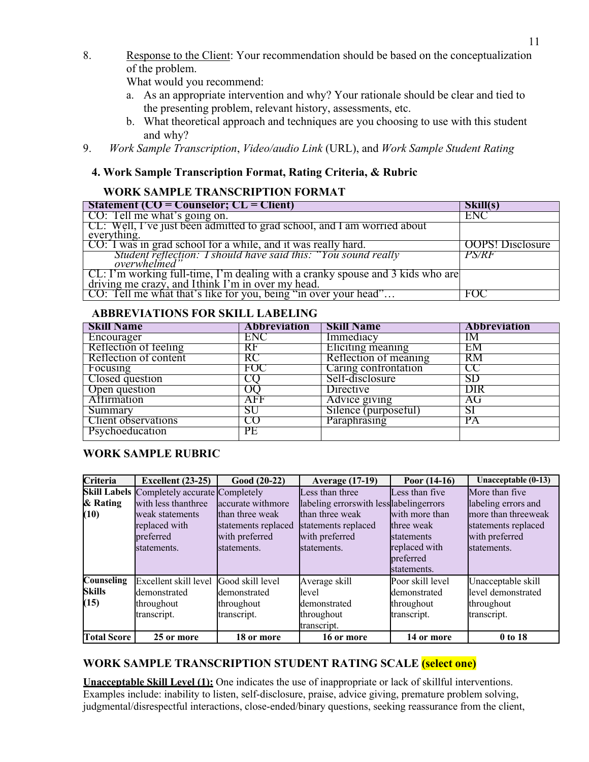8. Response to the Client: Your recommendation should be based on the conceptualization of the problem.

What would you recommend:

- a. As an appropriate intervention and why? Your rationale should be clear and tied to the presenting problem, relevant history, assessments, etc.
- b. What theoretical approach and techniques are you choosing to use with this student and why?
- 9. *Work Sample Transcription*, *Video/audio Link* (URL), and *Work Sample Student Rating*

## **4. Work Sample Transcription Format, Rating Criteria, & Rubric**

## **WORK SAMPLE TRANSCRIPTION FORMAT**

| <b>Statement (CO = Counselor; CL = Client)</b>                                                                                   | Skill(s)                |
|----------------------------------------------------------------------------------------------------------------------------------|-------------------------|
| CO: Tell me what's going on.                                                                                                     | ENC                     |
| CL: Well, I've just been admitted to grad school, and I am worried about<br>everything.                                          |                         |
| CO: I was in grad school for a while, and it was really hard.                                                                    | <b>OOPS!</b> Disclosure |
| Student reflection: I should have said this: "You sound really                                                                   | <i>PS/RF</i>            |
| CL: I'm working full-time, I'm dealing with a cranky spouse and 3 kids who are driving me crazy, and Ithink I'm in over my head. |                         |
| CO: Tell me what that's like for you, being "in over your head"                                                                  | FOC                     |

#### **ABBREVIATIONS FOR SKILL LABELING**

| <b>Skill Name</b>          | <b>Abbreviation</b> | <b>Skill Name</b>        | <b>Abbreviation</b> |
|----------------------------|---------------------|--------------------------|---------------------|
| Encourager                 | ENC                 | <i>Immediacy</i>         | IM                  |
| Reflection of feeling      | RF                  | <b>Eliciting</b> meaning | EМ                  |
| Reflection of content      | RC                  | Reflection of meaning    | RM                  |
| Focusing                   | FOC                 | Caring confrontation     | CC                  |
| Closed question            | ĊÛ                  | Self-disclosure          | SD                  |
| Open question              | O()                 | Directive                | DIR                 |
| <b>Attirmation</b>         | AFF                 | Advice giving            | AG                  |
| Summary                    | SU                  | Silence (purposeful)     | SІ                  |
| <b>Client observations</b> | CO                  | <b>Paraphrasing</b>      | PА                  |
| Psychoeducation            | РE                  |                          |                     |

### **WORK SAMPLE RUBRIC**

| Criteria           | <b>Excellent</b> (23-25)                           | Good (20-22)        | <b>Average (17-19)</b>                   | Poor $(14-16)$   | Unacceptable (0-13) |
|--------------------|----------------------------------------------------|---------------------|------------------------------------------|------------------|---------------------|
|                    | <b>Skill Labels</b> Completely accurate Completely |                     | Less than three                          | Less than five   | More than five      |
| & Rating           | with less thanthree                                | accurate withmore   | labeling errorswith less labeling errors |                  | labeling errors and |
| (10)               | weak statements                                    | than three weak     | than three weak                          | with more than   | more than threeweak |
|                    | replaced with                                      | statements replaced | statements replaced                      | three weak       | statements replaced |
|                    | preferred                                          | with preferred      | with preferred                           | statements       | with preferred      |
|                    | statements.                                        | statements.         | statements.                              | replaced with    | statements.         |
|                    |                                                    |                     |                                          | preferred        |                     |
|                    |                                                    |                     |                                          | statements.      |                     |
| <b>Counseling</b>  | Excellent skill level                              | Good skill level    | Average skill                            | Poor skill level | Unacceptable skill  |
| <b>Skills</b>      | demonstrated                                       | demonstrated        | level                                    | demonstrated     | level demonstrated  |
| (15)               | throughout                                         | throughout          | <b>demonstrated</b>                      | throughout       | throughout          |
|                    | transcript.                                        | transcript.         | throughout                               | transcript.      | transcript.         |
|                    |                                                    |                     | transcript.                              |                  |                     |
| <b>Total Score</b> | 25 or more                                         | 18 or more          | 16 or more                               | 14 or more       | 0 to 18             |

### **WORK SAMPLE TRANSCRIPTION STUDENT RATING SCALE (select one)**

**Unacceptable Skill Level (1):** One indicates the use of inappropriate or lack of skillful interventions. Examples include: inability to listen, self-disclosure, praise, advice giving, premature problem solving, judgmental/disrespectful interactions, close-ended/binary questions, seeking reassurance from the client,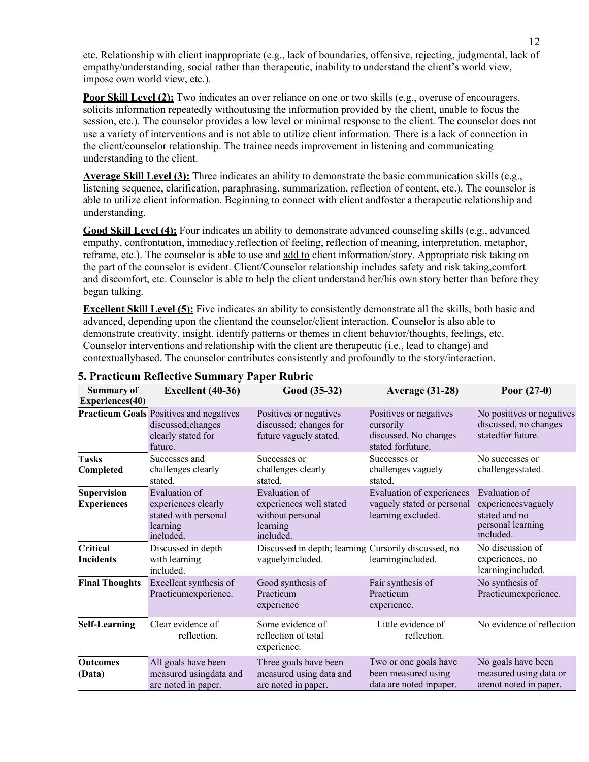etc. Relationship with client inappropriate (e.g., lack of boundaries, offensive, rejecting, judgmental, lack of empathy/understanding, social rather than therapeutic, inability to understand the client's world view, impose own world view, etc.).

**Poor Skill Level (2):** Two indicates an over reliance on one or two skills (e.g., overuse of encouragers, solicits information repeatedly withoutusing the information provided by the client, unable to focus the session, etc.). The counselor provides a low level or minimal response to the client. The counselor does not use a variety of interventions and is not able to utilize client information. There is a lack of connection in the client/counselor relationship. The trainee needs improvement in listening and communicating understanding to the client.

**Average Skill Level (3):** Three indicates an ability to demonstrate the basic communication skills (e.g., listening sequence, clarification, paraphrasing, summarization, reflection of content, etc.). The counselor is able to utilize client information. Beginning to connect with client andfoster a therapeutic relationship and understanding.

**Good Skill Level (4):** Four indicates an ability to demonstrate advanced counseling skills (e.g., advanced empathy, confrontation, immediacy,reflection of feeling, reflection of meaning, interpretation, metaphor, reframe, etc.). The counselor is able to use and add to client information/story. Appropriate risk taking on the part of the counselor is evident. Client/Counselor relationship includes safety and risk taking,comfort and discomfort, etc. Counselor is able to help the client understand her/his own story better than before they began talking.

**Excellent Skill Level (5):** Five indicates an ability to consistently demonstrate all the skills, both basic and advanced, depending upon the clientand the counselor/client interaction. Counselor is also able to demonstrate creativity, insight, identify patterns or themes in client behavior/thoughts, feelings, etc. Counselor interventions and relationship with the client are therapeutic (i.e., lead to change) and contextuallybased. The counselor contributes consistently and profoundly to the story/interaction.

| <b>Summary of</b><br><b>Experiences</b> (40) | Excellent (40-36)                                                                                     | Good (35-32)                                                                                 | <b>Average (31-28)</b>                                                            | Poor $(27-0)$                                                                          |
|----------------------------------------------|-------------------------------------------------------------------------------------------------------|----------------------------------------------------------------------------------------------|-----------------------------------------------------------------------------------|----------------------------------------------------------------------------------------|
|                                              | <b>Practicum Goals</b> Positives and negatives<br>discussed; changes<br>clearly stated for<br>future. | Positives or negatives<br>discussed; changes for<br>future vaguely stated.                   | Positives or negatives<br>cursorily<br>discussed. No changes<br>stated forfuture. | No positives or negatives<br>discussed, no changes<br>statedfor future.                |
| <b>Tasks</b><br>Completed                    | Successes and<br>challenges clearly<br>stated.                                                        | Successes or<br>challenges clearly<br>stated.                                                | Successes or<br>challenges vaguely<br>stated.                                     | No successes or<br>challengesstated.                                                   |
| <b>Supervision</b><br><b>Experiences</b>     | Evaluation of<br>experiences clearly<br>stated with personal<br>learning<br>included.                 | <b>Evaluation</b> of<br>experiences well stated<br>without personal<br>learning<br>included. | Evaluation of experiences<br>vaguely stated or personal<br>learning excluded.     | Evaluation of<br>experiencesvaguely<br>stated and no<br>personal learning<br>included. |
| <b>Critical</b><br>Incidents                 | Discussed in depth<br>with learning<br>included.                                                      | Discussed in depth; learning Cursorily discussed, no<br>vaguelyincluded.                     | learningincluded.                                                                 | No discussion of<br>experiences, no<br>learningincluded.                               |
| <b>Final Thoughts</b>                        | Excellent synthesis of<br>Practicumexperience.                                                        | Good synthesis of<br>Practicum<br>experience                                                 | Fair synthesis of<br>Practicum<br>experience.                                     | No synthesis of<br>Practicumexperience.                                                |
| <b>Self-Learning</b>                         | Clear evidence of<br>reflection.                                                                      | Some evidence of<br>reflection of total<br>experience.                                       | Little evidence of<br>reflection.                                                 | No evidence of reflection                                                              |
| <b>Outcomes</b><br>(Data)                    | All goals have been<br>measured usingdata and<br>are noted in paper.                                  | Three goals have been<br>measured using data and<br>are noted in paper.                      | Two or one goals have<br>been measured using<br>data are noted inpaper.           | No goals have been<br>measured using data or<br>arenot noted in paper.                 |

#### **5. Practicum Reflective Summary Paper Rubric**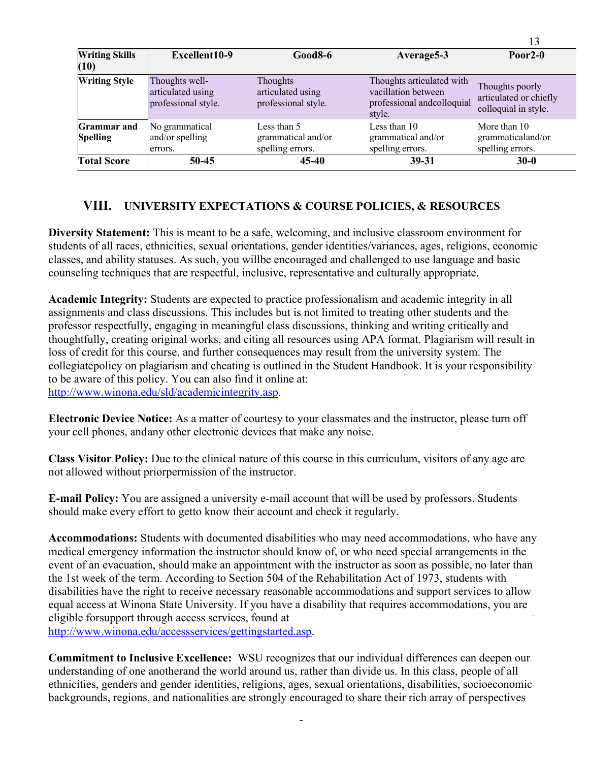| <b>Writing Skills</b><br>(10)         | Excellent10-9                                              | $Good8-6$                                                   | Average5-3                                                                               | Poor <sub>2</sub> - $\theta$                                      |
|---------------------------------------|------------------------------------------------------------|-------------------------------------------------------------|------------------------------------------------------------------------------------------|-------------------------------------------------------------------|
| <b>Writing Style</b>                  | Thoughts well-<br>articulated using<br>professional style. | <b>Thoughts</b><br>articulated using<br>professional style. | Thoughts articulated with<br>vacillation between<br>professional andcolloquial<br>style. | Thoughts poorly<br>articulated or chiefly<br>colloquial in style. |
| <b>Grammar</b> and<br><b>Spelling</b> | No grammatical<br>and/or spelling<br>errors.               | Less than 5<br>grammatical and/or<br>spelling errors.       | Less than 10<br>grammatical and/or<br>spelling errors.                                   | More than 10<br>grammaticaland/or<br>spelling errors.             |
| <b>Total Score</b>                    | 50-45                                                      | 45-40                                                       | 39-31                                                                                    | $30-0$                                                            |

13

### **VIII. UNIVERSITY EXPECTATIONS & COURSE POLICIES, & RESOURCES**

**Diversity Statement:** This is meant to be a safe, welcoming, and inclusive classroom environment for students of all races, ethnicities, sexual orientations, gender identities/variances, ages, religions, economic classes, and ability statuses. As such, you willbe encouraged and challenged to use language and basic counseling techniques that are respectful, inclusive, representative and culturally appropriate.

**Academic Integrity:** Students are expected to practice professionalism and academic integrity in all assignments and class discussions. This includes but is not limited to treating other students and the professor respectfully, engaging in meaningful class discussions, thinking and writing critically and thoughtfully, creating original works, and citing all resources using APA format. Plagiarism will result in loss of credit for this course, and further consequences may result from the university system. The collegiatepolicy on plagiarism and cheating is outlined in the Student Handbook. It is your responsibility to be aware of this policy. You can also find it online at: http://www.winona.edu/sld/academicintegrity.asp.

**Electronic Device Notice:** As a matter of courtesy to your classmates and the instructor, please turn off your cell phones, and any other electronic devices that make any noise.

**Class Visitor Policy:** Due to the clinical nature of this course in this curriculum, visitors of any age are not allowed without priorpermission of the instructor.

**E-mail Policy:** You are assigned a university e-mail account that will be used by professors. Students should make every effort to getto know their account and check it regularly.

**Accommodations:** Students with documented disabilities who may need accommodations, who have any medical emergency information the instructor should know of, or who need special arrangements in the event of an evacuation, should make an appointment with the instructor as soon as possible, no later than the 1st week of the term. According to Section 504 of the Rehabilitation Act of 1973, students with disabilities have the right to receive necessary reasonable accommodations and support services to allow equal access at Winona State University. If you have a disability that requires accommodations, you are eligible forsupport through access services, found at

http://www.winona.edu/accessservices/gettingstarted.asp.

**Commitment to Inclusive Excellence:** WSU recognizes that our individual differences can deepen our understanding of one anotherand the world around us, rather than divide us. In this class, people of all ethnicities, genders and gender identities, religions, ages, sexual orientations, disabilities, socioeconomic backgrounds, regions, and nationalities are strongly encouraged to share their rich array of perspectives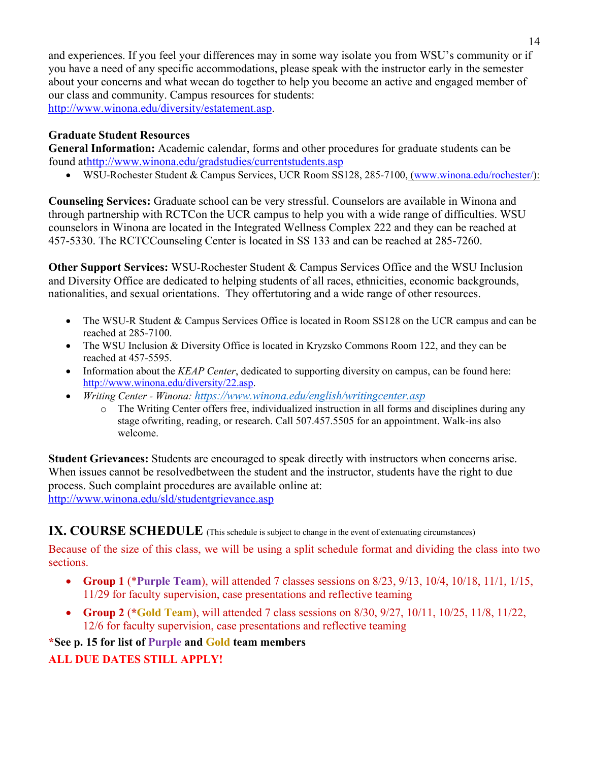and experiences. If you feel your differences may in some way isolate you from WSU's community or if you have a need of any specific accommodations, please speak with the instructor early in the semester about your concerns and what wecan do together to help you become an active and engaged member of our class and community. Campus resources for students: http://www.winona.edu/diversity/estatement.asp.

#### **Graduate Student Resources**

**General Information:** Academic calendar, forms and other procedures for graduate students can be found athttp://www.winona.edu/gradstudies/currentstudents.asp

• WSU-Rochester Student & Campus Services, UCR Room SS128, 285-7100, (www.winona.edu/rochester/):

**Counseling Services:** Graduate school can be very stressful. Counselors are available in Winona and through partnership with RCTCon the UCR campus to help you with a wide range of difficulties. WSU counselors in Winona are located in the Integrated Wellness Complex 222 and they can be reached at 457-5330. The RCTCCounseling Center is located in SS 133 and can be reached at 285-7260.

**Other Support Services:** WSU-Rochester Student & Campus Services Office and the WSU Inclusion and Diversity Office are dedicated to helping students of all races, ethnicities, economic backgrounds, nationalities, and sexual orientations. They offertutoring and a wide range of other resources.

- The WSU-R Student & Campus Services Office is located in Room SS128 on the UCR campus and can be reached at 285-7100.
- The WSU Inclusion & Diversity Office is located in Kryzsko Commons Room 122, and they can be reached at 457-5595.
- Information about the *KEAP Center*, dedicated to supporting diversity on campus, can be found here: http://www.winona.edu/diversity/22.asp.
- *Writing Center - Winona: https://www.winona.edu/english/writingcenter.asp*
	- o The Writing Center offers free, individualized instruction in all forms and disciplines during any stage ofwriting, reading, or research. Call 507.457.5505 for an appointment. Walk-ins also welcome.

**Student Grievances:** Students are encouraged to speak directly with instructors when concerns arise. When issues cannot be resolvedbetween the student and the instructor, students have the right to due process. Such complaint procedures are available online at: http://www.winona.edu/sld/studentgrievance.asp

### **IX. COURSE SCHEDULE** (This schedule is subject to change in the event of extenuating circumstances)

Because of the size of this class, we will be using a split schedule format and dividing the class into two sections.

- **Group 1** (\***Purple Team**), will attended 7 classes sessions on 8/23, 9/13, 10/4, 10/18, 11/1, 1/15, 11/29 for faculty supervision, case presentations and reflective teaming
- **Group 2** (**\*Gold Team**), will attended 7 class sessions on 8/30, 9/27, 10/11, 10/25, 11/8, 11/22, 12/6 for faculty supervision, case presentations and reflective teaming

#### **\*See p. 15 for list of Purple and Gold team members**

#### **ALL DUE DATES STILL APPLY!**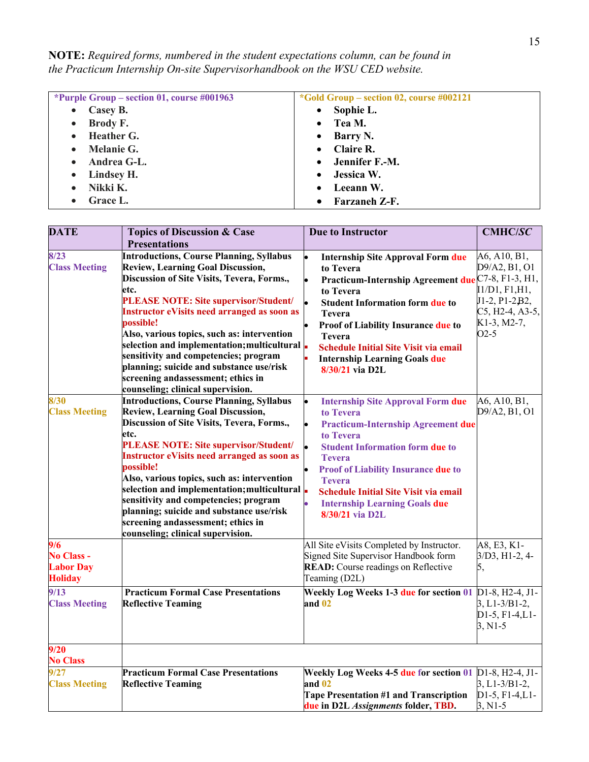**NOTE:** *Required forms, numbered in the student expectations column, can be found in the Practicum Internship On-site Supervisorhandbook on the WSU CED website.*

| *Purple Group – section 01, course $\#001963$ | *Gold Group – section 02, course $\#002121$ |
|-----------------------------------------------|---------------------------------------------|
| Casey B.                                      | Sophie L.                                   |
| $\bullet$                                     | $\bullet$                                   |
| Brody F.                                      | Tea M.                                      |
| $\bullet$                                     | $\bullet$                                   |
| Heather G.                                    | Barry N.                                    |
| $\bullet$                                     | $\bullet$                                   |
| Melanie G.                                    | Claire R.                                   |
| $\bullet$                                     | $\bullet$                                   |
| Andrea G-L.                                   | Jennifer F.-M.                              |
| $\bullet$                                     | $\bullet$                                   |
| Lindsey H.                                    | Jessica W.                                  |
| $\bullet$                                     | $\bullet$                                   |
| Nikki K.                                      | Leeann W.                                   |
| $\bullet$                                     | $\bullet$                                   |
| Grace L.                                      | Farzaneh Z-F.<br>$\bullet$                  |

| <b>DATE</b>                                             | <b>Topics of Discussion &amp; Case</b>                                                                                                                                                                                                                                                                                                                                                                                                                                                                                                                                  | <b>Due to Instructor</b>                                                                                                                                                                                                                                                                                                                               | <b>CMHC/SC</b>                                                                                                 |
|---------------------------------------------------------|-------------------------------------------------------------------------------------------------------------------------------------------------------------------------------------------------------------------------------------------------------------------------------------------------------------------------------------------------------------------------------------------------------------------------------------------------------------------------------------------------------------------------------------------------------------------------|--------------------------------------------------------------------------------------------------------------------------------------------------------------------------------------------------------------------------------------------------------------------------------------------------------------------------------------------------------|----------------------------------------------------------------------------------------------------------------|
|                                                         | <b>Presentations</b>                                                                                                                                                                                                                                                                                                                                                                                                                                                                                                                                                    |                                                                                                                                                                                                                                                                                                                                                        |                                                                                                                |
| 8/23<br><b>Class Meeting</b>                            | <b>Introductions, Course Planning, Syllabus</b><br><b>Review, Learning Goal Discussion,</b><br>Discussion of Site Visits, Tevera, Forms.,<br>etc.<br><b>PLEASE NOTE: Site supervisor/Student/</b><br><b>Instructor eVisits need arranged as soon as</b><br>possible!<br>Also, various topics, such as: intervention<br>selection and implementation; multicultural<br>sensitivity and competencies; program<br>planning; suicide and substance use/risk<br>screening andassessment; ethics in                                                                           | <b>Internship Site Approval Form due</b><br>to Tevera<br>Practicum-Internship Agreement due C7-8, F1-3, H1,<br>to Tevera<br><b>Student Information form due to</b><br><b>Tevera</b><br>Proof of Liability Insurance due to<br><b>Tevera</b><br><b>Schedule Initial Site Visit via email</b><br><b>Internship Learning Goals due</b><br>8/30/21 via D2L | A6, A10, B1,<br>D9/A2, B1, O1<br>I1/D1, F1, H1,<br>J1-2, P1-2B2,<br>$C5, H2-4, A3-5,$<br>K1-3, M2-7,<br>$O2-5$ |
| 8/30<br><b>Class Meeting</b>                            | counseling; clinical supervision.<br><b>Introductions, Course Planning, Syllabus</b><br><b>Review, Learning Goal Discussion,</b><br>Discussion of Site Visits, Tevera, Forms.,<br>etc.<br><b>PLEASE NOTE: Site supervisor/Student/</b><br><b>Instructor eVisits need arranged as soon as</b><br>possible!<br>Also, various topics, such as: intervention<br>selection and implementation; multicultural<br>sensitivity and competencies; program<br>planning; suicide and substance use/risk<br>screening andassessment; ethics in<br>counseling; clinical supervision. | <b>Internship Site Approval Form due</b><br>to Tevera<br><b>Practicum-Internship Agreement due</b><br>to Tevera<br><b>Student Information form due to</b><br><b>Tevera</b><br><b>Proof of Liability Insurance due to</b><br><b>Tevera</b><br><b>Schedule Initial Site Visit via email</b><br><b>Internship Learning Goals due</b><br>8/30/21 via D2L   | A6, A10, B1,<br>D9/A2, B1, O1                                                                                  |
| 9/6<br>No Class -<br><b>Labor Day</b><br><b>Holiday</b> |                                                                                                                                                                                                                                                                                                                                                                                                                                                                                                                                                                         | All Site eVisits Completed by Instructor.<br>Signed Site Supervisor Handbook form<br><b>READ:</b> Course readings on Reflective<br>Teaming (D2L)                                                                                                                                                                                                       | A8, E3, K1-<br>$3/D3, H1-2, 4-$<br>5,                                                                          |
| 9/13<br><b>Class Meeting</b>                            | <b>Practicum Formal Case Presentations</b><br><b>Reflective Teaming</b>                                                                                                                                                                                                                                                                                                                                                                                                                                                                                                 | Weekly Log Weeks 1-3 due for section 01<br>and 02                                                                                                                                                                                                                                                                                                      | D1-8, H2-4, J1-<br>$3, L1 - 3/B1 - 2,$<br>$D1-5, F1-4, L1-$<br>$3, N1-5$                                       |
| 9/20<br><b>No Class</b>                                 |                                                                                                                                                                                                                                                                                                                                                                                                                                                                                                                                                                         |                                                                                                                                                                                                                                                                                                                                                        |                                                                                                                |
| 9/27<br><b>Class Meeting</b>                            | <b>Practicum Formal Case Presentations</b><br><b>Reflective Teaming</b>                                                                                                                                                                                                                                                                                                                                                                                                                                                                                                 | Weekly Log Weeks 4-5 due for section 01<br>and 02<br><b>Tape Presentation #1 and Transcription</b><br>due in D2L Assignments folder, TBD.                                                                                                                                                                                                              | D1-8, H2-4, J1-<br>$3, L1 - 3/B1 - 2,$<br>$D1-5, F1-4, L1-$<br>$3, N1-5$                                       |